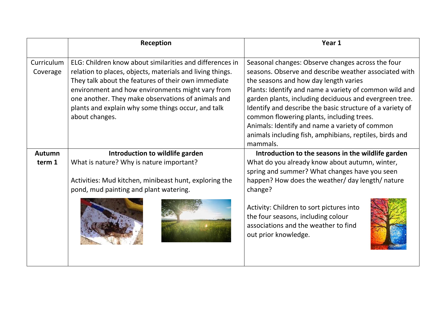|               | Reception                                                 | Year 1                                                                                                                                         |  |
|---------------|-----------------------------------------------------------|------------------------------------------------------------------------------------------------------------------------------------------------|--|
|               |                                                           |                                                                                                                                                |  |
| Curriculum    | ELG: Children know about similarities and differences in  | Seasonal changes: Observe changes across the four                                                                                              |  |
| Coverage      | relation to places, objects, materials and living things. | seasons. Observe and describe weather associated with                                                                                          |  |
|               | They talk about the features of their own immediate       | the seasons and how day length varies                                                                                                          |  |
|               | environment and how environments might vary from          | Plants: Identify and name a variety of common wild and                                                                                         |  |
|               | one another. They make observations of animals and        | garden plants, including deciduous and evergreen tree.                                                                                         |  |
|               | plants and explain why some things occur, and talk        | Identify and describe the basic structure of a variety of                                                                                      |  |
|               | about changes.                                            | common flowering plants, including trees.                                                                                                      |  |
|               |                                                           | Animals: Identify and name a variety of common                                                                                                 |  |
|               |                                                           | animals including fish, amphibians, reptiles, birds and                                                                                        |  |
|               |                                                           | mammals.                                                                                                                                       |  |
| <b>Autumn</b> | Introduction to wildlife garden                           | Introduction to the seasons in the wildlife garden                                                                                             |  |
| term 1        | What is nature? Why is nature important?                  | What do you already know about autumn, winter,                                                                                                 |  |
|               |                                                           | spring and summer? What changes have you seen                                                                                                  |  |
|               | Activities: Mud kitchen, minibeast hunt, exploring the    | happen? How does the weather/ day length/ nature                                                                                               |  |
|               | pond, mud painting and plant watering.                    | change?                                                                                                                                        |  |
|               |                                                           | Activity: Children to sort pictures into<br>the four seasons, including colour<br>associations and the weather to find<br>out prior knowledge. |  |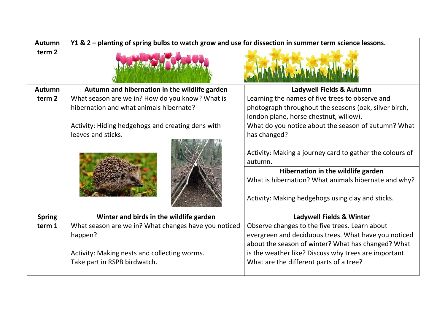| <b>Autumn</b>     | Y1 & 2 - planting of spring bulbs to watch grow and use for dissection in summer term science lessons. |                                                                                                 |  |
|-------------------|--------------------------------------------------------------------------------------------------------|-------------------------------------------------------------------------------------------------|--|
| term <sub>2</sub> |                                                                                                        |                                                                                                 |  |
| <b>Autumn</b>     | Autumn and hibernation in the wildlife garden                                                          | Ladywell Fields & Autumn                                                                        |  |
| term 2            | What season are we in? How do you know? What is                                                        | Learning the names of five trees to observe and                                                 |  |
|                   | hibernation and what animals hibernate?                                                                | photograph throughout the seasons (oak, silver birch,<br>london plane, horse chestnut, willow). |  |
|                   | Activity: Hiding hedgehogs and creating dens with<br>leaves and sticks.                                | What do you notice about the season of autumn? What<br>has changed?                             |  |
|                   |                                                                                                        | Activity: Making a journey card to gather the colours of<br>autumn.                             |  |
|                   |                                                                                                        | Hibernation in the wildlife garden<br>What is hibernation? What animals hibernate and why?      |  |
|                   |                                                                                                        | Activity: Making hedgehogs using clay and sticks.                                               |  |
| <b>Spring</b>     | Winter and birds in the wildlife garden                                                                | <b>Ladywell Fields &amp; Winter</b>                                                             |  |
| term 1            | What season are we in? What changes have you noticed                                                   | Observe changes to the five trees. Learn about                                                  |  |
|                   | happen?                                                                                                | evergreen and deciduous trees. What have you noticed                                            |  |
|                   |                                                                                                        | about the season of winter? What has changed? What                                              |  |
|                   | Activity: Making nests and collecting worms.                                                           | is the weather like? Discuss why trees are important.                                           |  |
|                   | Take part in RSPB birdwatch.                                                                           | What are the different parts of a tree?                                                         |  |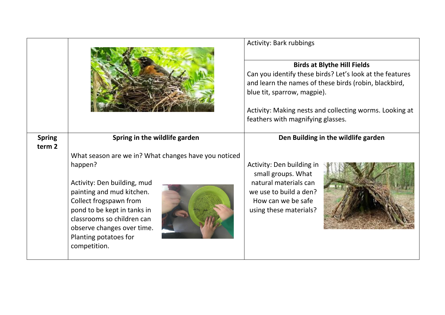|                                    |                                                                                                                                                                                                                                                                                           | <b>Activity: Bark rubbings</b>                                                                                                                                                                                                                                                         |  |
|------------------------------------|-------------------------------------------------------------------------------------------------------------------------------------------------------------------------------------------------------------------------------------------------------------------------------------------|----------------------------------------------------------------------------------------------------------------------------------------------------------------------------------------------------------------------------------------------------------------------------------------|--|
|                                    |                                                                                                                                                                                                                                                                                           | <b>Birds at Blythe Hill Fields</b><br>Can you identify these birds? Let's look at the features<br>and learn the names of these birds (robin, blackbird,<br>blue tit, sparrow, magpie).<br>Activity: Making nests and collecting worms. Looking at<br>feathers with magnifying glasses. |  |
| <b>Spring</b><br>term <sub>2</sub> | Spring in the wildlife garden                                                                                                                                                                                                                                                             | Den Building in the wildlife garden                                                                                                                                                                                                                                                    |  |
|                                    | What season are we in? What changes have you noticed<br>happen?<br>Activity: Den building, mud<br>painting and mud kitchen.<br>Collect frogspawn from<br>pond to be kept in tanks in<br>classrooms so children can<br>observe changes over time.<br>Planting potatoes for<br>competition. | Activity: Den building in<br>small groups. What<br>natural materials can<br>we use to build a den?<br>How can we be safe<br>using these materials?                                                                                                                                     |  |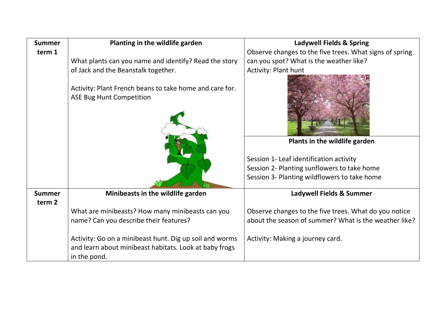| <b>Summer</b>     | Planting in the wildlife garden                                                            | <b>Ladywell Fields &amp; Spring</b>                     |  |
|-------------------|--------------------------------------------------------------------------------------------|---------------------------------------------------------|--|
| term 1            |                                                                                            | Observe changes to the five trees. What signs of spring |  |
|                   | What plants can you name and identify? Read the story                                      | can you spot? What is the weather like?                 |  |
|                   | of Jack and the Beanstalk together.                                                        | <b>Activity: Plant hunt</b>                             |  |
|                   | Activity: Plant French beans to take home and care for.<br><b>ASE Bug Hunt Competition</b> |                                                         |  |
|                   |                                                                                            | Plants in the wildlife garden                           |  |
|                   |                                                                                            | Session 1- Leaf identification activity                 |  |
|                   |                                                                                            | Session 2- Planting sunflowers to take home             |  |
|                   |                                                                                            | Session 3- Planting wildflowers to take home            |  |
|                   |                                                                                            |                                                         |  |
| <b>Summer</b>     | Minibeasts in the wildlife garden                                                          | Ladywell Fields & Summer                                |  |
| term <sub>2</sub> |                                                                                            |                                                         |  |
|                   | What are minibeasts? How many minibeasts can you                                           | Observe changes to the five trees. What do you notice   |  |
|                   | name? Can you describe their features?                                                     | about the season of summer? What is the weather like?   |  |
|                   |                                                                                            |                                                         |  |
|                   | Activity: Go on a minibeast hunt. Dig up soil and worms                                    | Activity: Making a journey card.                        |  |
|                   | and learn about minibeast habitats. Look at baby frogs<br>in the pond.                     |                                                         |  |